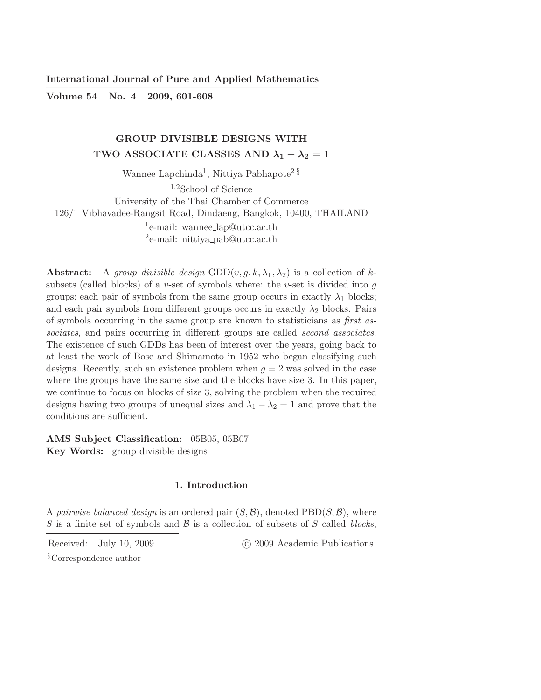International Journal of Pure and Applied Mathematics ————————————————————————–

Volume 54 No. 4 2009, 601-608

# GROUP DIVISIBLE DESIGNS WITH TWO ASSOCIATE CLASSES AND  $\lambda_1 - \lambda_2 = 1$

Wannee Lapchinda<sup>1</sup>, Nittiya Pabhapote<sup>2 §</sup> <sup>1</sup>,2School of Science University of the Thai Chamber of Commerce 126/1 Vibhavadee-Rangsit Road, Dindaeng, Bangkok, 10400, THAILAND <sup>1</sup>e-mail: wannee\_lap@utcc.ac.th <sup>2</sup>e-mail: nittiya\_pab@utcc.ac.th

**Abstract:** A group divisible design GDD(v,  $g, k, \lambda_1, \lambda_2$ ) is a collection of ksubsets (called blocks) of a v-set of symbols where: the v-set is divided into  $g$ groups; each pair of symbols from the same group occurs in exactly  $\lambda_1$  blocks; and each pair symbols from different groups occurs in exactly  $\lambda_2$  blocks. Pairs of symbols occurring in the same group are known to statisticians as first associates, and pairs occurring in different groups are called *second associates*. The existence of such GDDs has been of interest over the years, going back to at least the work of Bose and Shimamoto in 1952 who began classifying such designs. Recently, such an existence problem when  $g = 2$  was solved in the case where the groups have the same size and the blocks have size 3. In this paper, we continue to focus on blocks of size 3, solving the problem when the required designs having two groups of unequal sizes and  $\lambda_1 - \lambda_2 = 1$  and prove that the conditions are sufficient.

AMS Subject Classification: 05B05, 05B07 Key Words: group divisible designs

### 1. Introduction

A pairwise balanced design is an ordered pair  $(S, \mathcal{B})$ , denoted PBD $(S, \mathcal{B})$ , where S is a finite set of symbols and  $\beta$  is a collection of subsets of S called blocks,

Received: July 10, 2009 (C) 2009 Academic Publications

§Correspondence author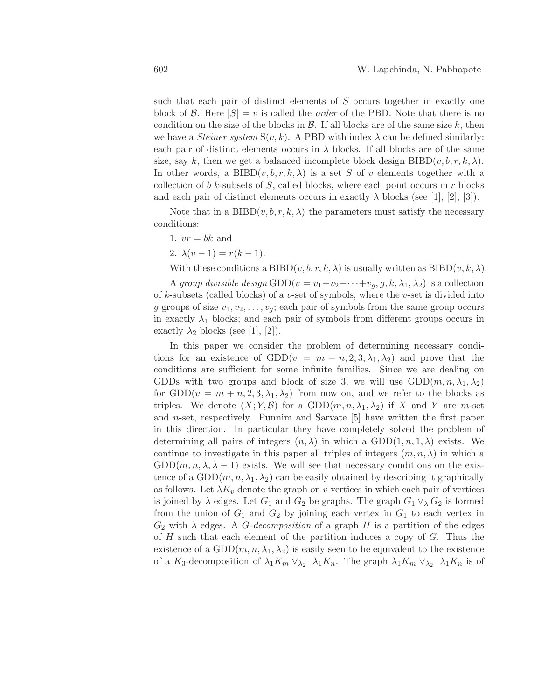such that each pair of distinct elements of S occurs together in exactly one block of B. Here  $|S| = v$  is called the *order* of the PBD. Note that there is no condition on the size of the blocks in  $\mathcal{B}$ . If all blocks are of the same size k, then we have a *Steiner system*  $S(v, k)$ . A PBD with index  $\lambda$  can be defined similarly: each pair of distinct elements occurs in  $\lambda$  blocks. If all blocks are of the same size, say k, then we get a balanced incomplete block design  $BIBD(v, b, r, k, \lambda)$ . In other words, a BIBD $(v, b, r, k, \lambda)$  is a set S of v elements together with a collection of b k-subsets of S, called blocks, where each point occurs in  $r$  blocks and each pair of distinct elements occurs in exactly  $\lambda$  blocks (see [1], [2], [3]).

Note that in a BIBD $(v, b, r, k, \lambda)$  the parameters must satisfy the necessary conditions:

1.  $vr = bk$  and

2.  $\lambda(v-1) = r(k-1)$ .

With these conditions a BIBD $(v, b, r, k, \lambda)$  is usually written as BIBD $(v, k, \lambda)$ .

A group divisible design GDD $(v = v_1 + v_2 + \cdots + v_q, g, k, \lambda_1, \lambda_2)$  is a collection of  $k$ -subsets (called blocks) of a v-set of symbols, where the v-set is divided into g groups of size  $v_1, v_2, \ldots, v_q$ ; each pair of symbols from the same group occurs in exactly  $\lambda_1$  blocks; and each pair of symbols from different groups occurs in exactly  $\lambda_2$  blocks (see [1], [2]).

In this paper we consider the problem of determining necessary conditions for an existence of  $GDD(v = m + n, 2, 3, \lambda_1, \lambda_2)$  and prove that the conditions are sufficient for some infinite families. Since we are dealing on GDDs with two groups and block of size 3, we will use  $GDD(m, n, \lambda_1, \lambda_2)$ for  $GDD(v = m + n, 2, 3, \lambda_1, \lambda_2)$  from now on, and we refer to the blocks as triples. We denote  $(X; Y, \mathcal{B})$  for a  $GDD(m, n, \lambda_1, \lambda_2)$  if X and Y are m-set and n-set, respectively. Punnim and Sarvate [5] have written the first paper in this direction. In particular they have completely solved the problem of determining all pairs of integers  $(n, \lambda)$  in which a GDD $(1, n, 1, \lambda)$  exists. We continue to investigate in this paper all triples of integers  $(m, n, \lambda)$  in which a  $GDD(m, n, \lambda, \lambda - 1)$  exists. We will see that necessary conditions on the existence of a  $GDD(m, n, \lambda_1, \lambda_2)$  can be easily obtained by describing it graphically as follows. Let  $\lambda K_v$  denote the graph on v vertices in which each pair of vertices is joined by  $\lambda$  edges. Let  $G_1$  and  $G_2$  be graphs. The graph  $G_1 \vee_{\lambda} G_2$  is formed from the union of  $G_1$  and  $G_2$  by joining each vertex in  $G_1$  to each vertex in  $G_2$  with  $\lambda$  edges. A *G*-decomposition of a graph *H* is a partition of the edges of  $H$  such that each element of the partition induces a copy of  $G$ . Thus the existence of a  $GDD(m, n, \lambda_1, \lambda_2)$  is easily seen to be equivalent to the existence of a K<sub>3</sub>-decomposition of  $\lambda_1 K_m \vee_{\lambda_2} \lambda_1 K_n$ . The graph  $\lambda_1 K_m \vee_{\lambda_2} \lambda_1 K_n$  is of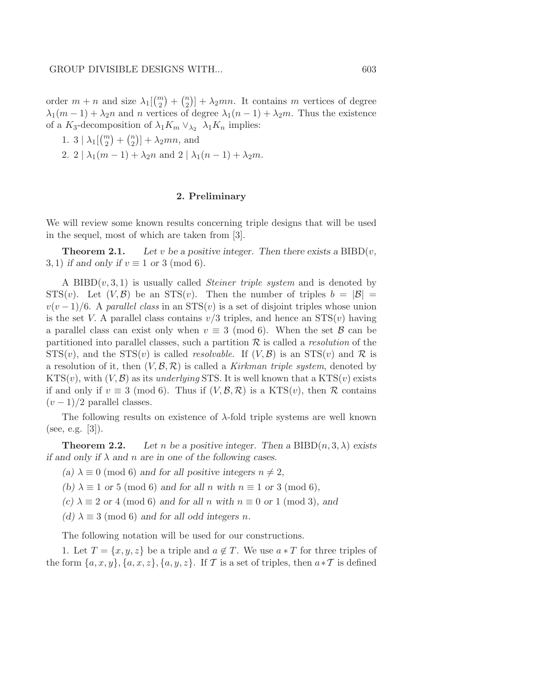order  $m + n$  and size  $\lambda_1 \begin{pmatrix} m \\ 2 \end{pmatrix} + \begin{pmatrix} n \\ 2 \end{pmatrix} + \lambda_2 mn$ . It contains m vertices of degree  $\lambda_1(m-1) + \lambda_2n$  and n vertices of degree  $\lambda_1(n-1) + \lambda_2m$ . Thus the existence of a K<sub>3</sub>-decomposition of  $\lambda_1 K_m \vee_{\lambda_2} \lambda_1 K_n$  implies:

1. 3  $\lambda_1\begin{pmatrix}m\\2\end{pmatrix} + \begin{pmatrix}n\\2\end{pmatrix} + \lambda_2 mn$ , and 2. 2 |  $\lambda_1(m-1) + \lambda_2 n$  and 2 |  $\lambda_1(n-1) + \lambda_2 m$ .

### 2. Preliminary

We will review some known results concerning triple designs that will be used in the sequel, most of which are taken from [3].

**Theorem 2.1.** Let v be a positive integer. Then there exists a  $BIBD(v,$ 3, 1) *if and only if*  $v \equiv 1$  *or* 3 (mod 6).

A BIBD $(v, 3, 1)$  is usually called *Steiner triple system* and is denoted by  $STS(v)$ . Let  $(V,\mathcal{B})$  be an  $STS(v)$ . Then the number of triples  $b = |\mathcal{B}| =$  $v(v-1)/6$ . A parallel class in an STS(v) is a set of disjoint triples whose union is the set V. A parallel class contains  $v/3$  triples, and hence an  $STS(v)$  having a parallel class can exist only when  $v \equiv 3 \pmod{6}$ . When the set  $\beta$  can be partitioned into parallel classes, such a partition  $\mathcal R$  is called a *resolution* of the  $STS(v)$ , and the  $STS(v)$  is called *resolvable*. If  $(V, B)$  is an  $STS(v)$  and R is a resolution of it, then  $(V, \mathcal{B}, \mathcal{R})$  is called a Kirkman triple system, denoted by  $KTS(v)$ , with  $(V, B)$  as its underlying STS. It is well known that a  $KTS(v)$  exists if and only if  $v \equiv 3 \pmod{6}$ . Thus if  $(V, \mathcal{B}, \mathcal{R})$  is a KTS(v), then R contains  $(v-1)/2$  parallel classes.

The following results on existence of  $\lambda$ -fold triple systems are well known (see, e.g. [3]).

**Theorem 2.2.** Let *n* be a positive integer. Then a BIBD $(n, 3, \lambda)$  exists *if and only if* λ *and* n *are in one of the following cases.*

- *(a)*  $\lambda \equiv 0 \pmod{6}$  *and for all positive integers*  $n \neq 2$ *,*
- *(b)*  $\lambda \equiv 1$  *or* 5 (mod 6) *and for all n with*  $n \equiv 1$  *or* 3 (mod 6)*,*
- *(c)*  $\lambda \equiv 2$  *or* 4 (mod 6) *and for all n with*  $n \equiv 0$  *or* 1 (mod 3)*, and*
- *(d)*  $\lambda \equiv 3 \pmod{6}$  *and for all odd integers n.*

The following notation will be used for our constructions.

1. Let  $T = \{x, y, z\}$  be a triple and  $a \notin T$ . We use  $a * T$  for three triples of the form  $\{a, x, y\}, \{a, x, z\}, \{a, y, z\}$ . If T is a set of triples, then  $a * T$  is defined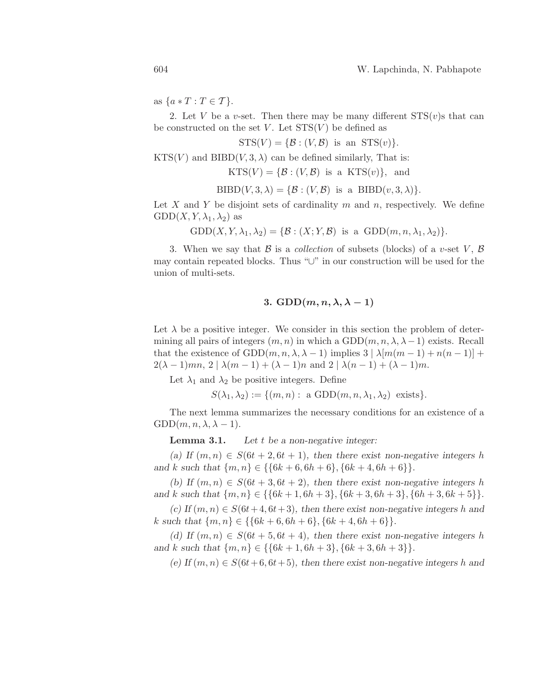as  $\{a*T: T \in T\}$ .

2. Let V be a v-set. Then there may be many different  $STS(v)s$  that can be constructed on the set V. Let  $STS(V)$  be defined as

 $STS(V) = \{B: (V, B)$  is an  $STS(v)\}.$ 

 $KTS(V)$  and  $BIBD(V, 3, \lambda)$  can be defined similarly. That is:

 $KTS(V) = \{ \mathcal{B} : (V, \mathcal{B}) \text{ is a } KTS(v) \}, \text{ and}$ 

 $BIBD(V, 3, \lambda) = \{ \mathcal{B} : (V, \mathcal{B}) \text{ is a } BIBD(v, 3, \lambda) \}.$ 

Let X and Y be disjoint sets of cardinality  $m$  and  $n$ , respectively. We define  $GDD(X, Y, \lambda_1, \lambda_2)$  as

 $GDD(X, Y, \lambda_1, \lambda_2) = \{ \mathcal{B} : (X; Y, \mathcal{B}) \text{ is a } GDD(m, n, \lambda_1, \lambda_2) \}.$ 

3. When we say that  $\mathcal B$  is a collection of subsets (blocks) of a v-set V,  $\mathcal B$ may contain repeated blocks. Thus "∪" in our construction will be used for the union of multi-sets.

## 3. GDD $(m, n, \lambda, \lambda - 1)$

Let  $\lambda$  be a positive integer. We consider in this section the problem of determining all pairs of integers  $(m, n)$  in which a GDD $(m, n, \lambda, \lambda - 1)$  exists. Recall that the existence of GDD $(m, n, \lambda, \lambda - 1)$  implies  $3 | \lambda[m(m-1) + n(n-1)] +$  $2(\lambda - 1)mn, 2 | \lambda(m - 1) + (\lambda - 1)n$  and  $2 | \lambda(n - 1) + (\lambda - 1)m$ .

Let  $\lambda_1$  and  $\lambda_2$  be positive integers. Define

 $S(\lambda_1, \lambda_2) := \{(m, n): \text{ a GDD}(m, n, \lambda_1, \lambda_2) \text{ exists}\}.$ 

The next lemma summarizes the necessary conditions for an existence of a  $GDD(m, n, \lambda, \lambda - 1).$ 

Lemma 3.1. *Let* t *be a non-negative integer:*

(a) If  $(m, n) \in S(6t + 2, 6t + 1)$ , then there exist non-negative integers h *and* k *such that*  $\{m, n\} \in \{\{6k + 6, 6h + 6\}, \{6k + 4, 6h + 6\}\}.$ 

*(b)* If  $(m, n) \in S(6t + 3, 6t + 2)$ *, then there exist non-negative integers h and* k *such that*  $\{m, n\} \in \{\{6k+1, 6h+3\}, \{6k+3, 6h+3\}, \{6h+3, 6k+5\}\}.$ 

 $(c)$  If  $(m, n) \in S(6t+4, 6t+3)$ , then there exist non-negative integers h and k such that  $\{m, n\} \in \{\{6k+6, 6h+6\}, \{6k+4, 6h+6\}\}.$ 

*(d)* If  $(m, n) \in S(6t + 5, 6t + 4)$ , then there exist non-negative integers h *and* k *such that*  $\{m, n\} \in \{\{6k+1, 6h+3\}, \{6k+3, 6h+3\}\}.$ 

 $(e)$  If  $(m, n) \in S(6t+6, 6t+5)$ , then there exist non-negative integers h and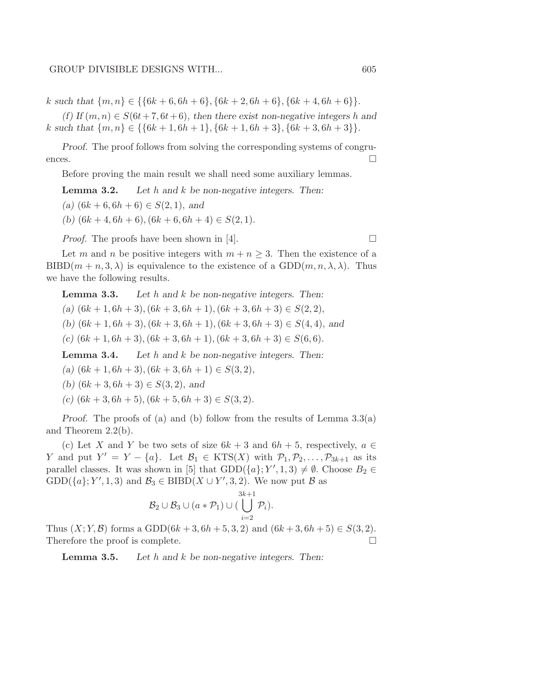k *such that*  $\{m, n\} \in \{\{6k+6, 6h+6\}, \{6k+2, 6h+6\}, \{6k+4, 6h+6\}\}.$ 

 $(f)$  If  $(m, n) \in S(6t + 7, 6t + 6)$ *, then there exist non-negative integers* h and k such that  $\{m, n\} \in \{\{6k+1, 6h+1\}, \{6k+1, 6h+3\}, \{6k+3, 6h+3\}\}.$ 

*Proof.* The proof follows from solving the corresponding systems of congruences.  $\Box$ 

Before proving the main result we shall need some auxiliary lemmas.

Lemma 3.2. *Let* h *and* k *be non-negative integers. Then:*

 $(a)$   $(6k + 6, 6h + 6) \in S(2, 1)$ , and

(b)  $(6k + 4, 6h + 6), (6k + 6, 6h + 4) \in S(2, 1)$ .

*Proof.* The proofs have been shown in [4].

Let m and n be positive integers with  $m + n \geq 3$ . Then the existence of a  $BIBD(m + n, 3, \lambda)$  is equivalence to the existence of a  $GDD(m, n, \lambda, \lambda)$ . Thus we have the following results.

Lemma 3.3. *Let* h *and* k *be non-negative integers. Then:*

 $(a)$   $(6k+1, 6h+3), (6k+3, 6h+1), (6k+3, 6h+3) \in S(2, 2),$ 

(b)  $(6k+1, 6h+3), (6k+3, 6h+1), (6k+3, 6h+3) \in S(4, 4),$  and

 $(c)$   $(6k + 1, 6h + 3), (6k + 3, 6h + 1), (6k + 3, 6h + 3) \in S(6, 6)$ .

Lemma 3.4. *Let* h *and* k *be non-negative integers. Then:*

(a)  $(6k+1, 6h+3), (6k+3, 6h+1) \in S(3, 2),$ 

- *(b)*  $(6k + 3, 6h + 3) \in S(3, 2)$ , and
- *(c)* (6k + 3, 6h + 5),(6k + 5, 6h + 3) ∈ S(3, 2)*.*

*Proof.* The proofs of (a) and (b) follow from the results of Lemma 3.3(a) and Theorem 2.2(b).

(c) Let X and Y be two sets of size  $6k + 3$  and  $6h + 5$ , respectively,  $a \in$ Y and put  $Y' = Y - \{a\}$ . Let  $\mathcal{B}_1 \in \text{KTS}(X)$  with  $\mathcal{P}_1, \mathcal{P}_2, \ldots, \mathcal{P}_{3k+1}$  as its parallel classes. It was shown in [5] that  $GDD(\lbrace a \rbrace; Y', 1, 3) \neq \emptyset$ . Choose  $B_2 \in$  $GDD({a}; Y', 1, 3)$  and  $\mathcal{B}_3 \in \text{BIBD}(X \cup Y', 3, 2)$ . We now put  $\mathcal{B}$  as

$$
\mathcal{B}_2 \cup \mathcal{B}_3 \cup (a * \mathcal{P}_1) \cup (\bigcup_{i=2}^{3k+1} \mathcal{P}_i).
$$

Thus  $(X; Y, B)$  forms a GDD(6k + 3, 6h + 5, 3, 2) and  $(6k + 3, 6h + 5) \in S(3, 2)$ . Therefore the proof is complete.

Lemma 3.5. *Let* h *and* k *be non-negative integers. Then:*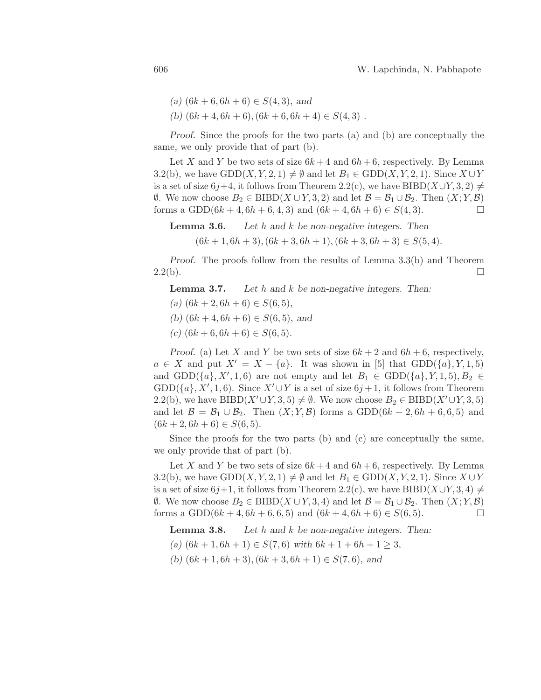- $(a)$  (6*k* + 6, 6*h* + 6) ∈ *S*(4, 3), *and*
- (b)  $(6k + 4, 6h + 6), (6k + 6, 6h + 4) \in S(4, 3)$ .

*Proof.* Since the proofs for the two parts (a) and (b) are conceptually the same, we only provide that of part (b).

Let X and Y be two sets of size  $6k + 4$  and  $6h + 6$ , respectively. By Lemma 3.2(b), we have  $GDD(X, Y, 2, 1) \neq \emptyset$  and let  $B_1 \in GDD(X, Y, 2, 1)$ . Since  $X \cup Y$ is a set of size 6j+4, it follows from Theorem 2.2(c), we have BIBD( $X\cup Y, 3, 2$ )  $\neq$  $\emptyset$ . We now choose  $B_2$  ∈ BIBD( $X \cup Y, 3, 2$ ) and let  $\mathcal{B} = \mathcal{B}_1 \cup \mathcal{B}_2$ . Then  $(X; Y, \mathcal{B})$ forms a GDD( $6k + 4$ ,  $6h + 6$ ,  $4$ ,  $3$ ) and  $(6k + 4, 6h + 6) \in S(4, 3)$ .

Lemma 3.6. *Let* h *and* k *be non-negative integers. Then*  $(6k+1, 6h+3), (6k+3, 6h+1), (6k+3, 6h+3) \in S(5, 4).$ 

*Proof.* The proofs follow from the results of Lemma 3.3(b) and Theorem  $2.2(b).$ 

Lemma 3.7. *Let* h *and* k *be non-negative integers. Then:*

- $(a)$   $(6k + 2, 6h + 6) \in S(6, 5),$
- *(b)*  $(6k + 4, 6h + 6) \in S(6, 5)$ , and
- $(c)$   $(6k + 6, 6h + 6) \in S(6, 5)$ .

*Proof.* (a) Let X and Y be two sets of size  $6k + 2$  and  $6h + 6$ , respectively,  $a \in X$  and put  $X' = X - \{a\}$ . It was shown in [5] that  $GDD(\{a\}, Y, 1, 5)$ and GDD( $\{a\}$ , X', 1, 6) are not empty and let  $B_1 \in \text{GDD}(\{a\}, Y, 1, 5)$ ,  $B_2 \in$  $GDD(\lbrace a \rbrace, X', 1, 6)$ . Since  $X' \cup Y$  is a set of size  $6j + 1$ , it follows from Theorem 2.2(b), we have BIBD( $X' \cup Y$ , 3, 5)  $\neq \emptyset$ . We now choose  $B_2 \in \text{BIBD}(X' \cup Y, 3, 5)$ and let  $\mathcal{B} = \mathcal{B}_1 \cup \mathcal{B}_2$ . Then  $(X; Y, \mathcal{B})$  forms a GDD(6k + 2,6h + 6,6,5) and  $(6k + 2, 6h + 6) \in S(6, 5).$ 

Since the proofs for the two parts (b) and (c) are conceptually the same, we only provide that of part (b).

Let X and Y be two sets of size  $6k + 4$  and  $6h + 6$ , respectively. By Lemma 3.2(b), we have  $GDD(X, Y, 2, 1) \neq \emptyset$  and let  $B_1 \in GDD(X, Y, 2, 1)$ . Since  $X \cup Y$ is a set of size 6j+1, it follows from Theorem 2.2(c), we have BIBD( $X\cup Y, 3, 4$ )  $\neq$  $\emptyset$ . We now choose  $B_2$  ∈ BIBD( $X \cup Y$ , 3, 4) and let  $\mathcal{B} = \mathcal{B}_1 \cup \mathcal{B}_2$ . Then  $(X; Y, \mathcal{B})$ forms a GDD( $6k + 4$ ,  $6h + 6$ ,  $6$ ,  $5$ ) and  $(6k + 4, 6h + 6) \in S(6, 5)$ .

Lemma 3.8. *Let* h *and* k *be non-negative integers. Then:*

 $(a)$  (6k + 1, 6h + 1) ∈  $S(7, 6)$  *with* 6k + 1 + 6h + 1 ≥ 3,

(b)  $(6k+1, 6h+3), (6k+3, 6h+1) \in S(7,6)$ , and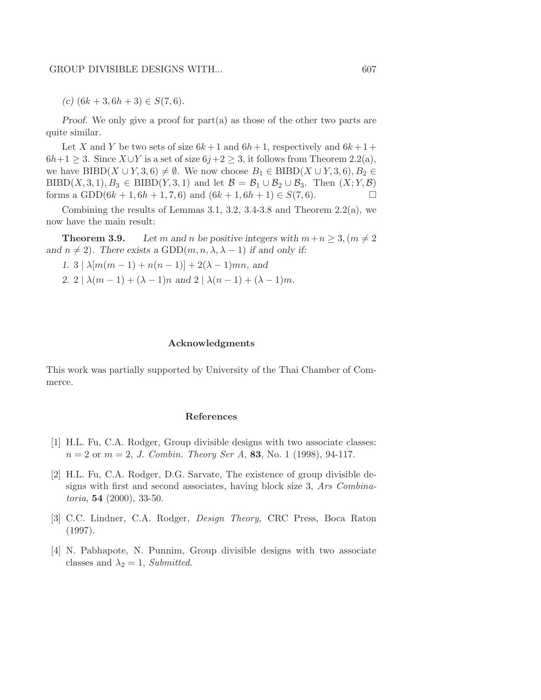$(c)$   $(6k + 3, 6h + 3) \in S(7, 6)$ .

*Proof.* We only give a proof for part(a) as those of the other two parts are quite similar.

Let X and Y be two sets of size  $6k+1$  and  $6h+1$ , respectively and  $6k+1+$  $6h+1 \geq 3$ . Since  $X \cup Y$  is a set of size  $6j+2 \geq 3$ , it follows from Theorem 2.2(a), we have BIBD( $X \cup Y, 3, 6$ )  $\neq \emptyset$ . We now choose  $B_1 \in \text{BIBD}(X \cup Y, 3, 6), B_2 \in$ BIBD(X, 3, 1),  $B_3 \in \text{BIBD}(Y, 3, 1)$  and let  $\mathcal{B} = \mathcal{B}_1 \cup \mathcal{B}_2 \cup \mathcal{B}_3$ . Then  $(X; Y, \mathcal{B})$ forms a GDD( $6k + 1, 6h + 1, 7, 6$ ) and  $(6k + 1, 6h + 1) \in S(7, 6)$ .

Combining the results of Lemmas 3.1, 3.2, 3.4-3.8 and Theorem  $2.2(a)$ , we now have the main result:

**Theorem 3.9.** Let m and n be positive integers with  $m+n \geq 3$ ,  $(m \neq 2)$ and  $n \neq 2$ ). There exists a GDD $(m, n, \lambda, \lambda - 1)$  *if and only if:* 

*1.*  $3 | \lambda[m(m-1) + n(n-1)] + 2(\lambda - 1)mn$ , and

2. 2 |  $\lambda(m-1) + (\lambda - 1)n$  *and* 2 |  $\lambda(n-1) + (\lambda - 1)m$ *.* 

#### Acknowledgments

This work was partially supported by University of the Thai Chamber of Commerce.

### References

- [1] H.L. Fu, C.A. Rodger, Group divisible designs with two associate classes:  $n = 2$  or  $m = 2$ , J. Combin. Theory Ser A, 83, No. 1 (1998), 94-117.
- [2] H.L. Fu, C.A. Rodger, D.G. Sarvate, The existence of group divisible designs with first and second associates, having block size 3, Ars Combina*toria*, **54** (2000), 33-50.
- [3] C.C. Lindner, C.A. Rodger, Design Theory, CRC Press, Boca Raton (1997).
- [4] N. Pabhapote, N. Punnim, Group divisible designs with two associate classes and  $\lambda_2 = 1$ , Submitted.